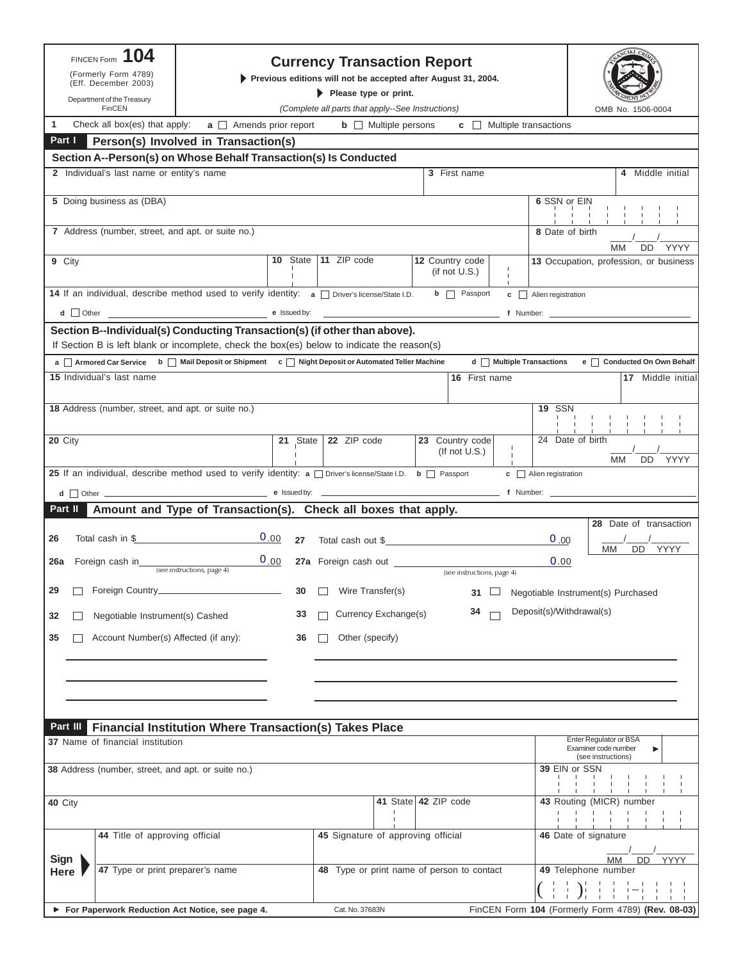| 104<br><b>FINCEN Form</b><br>(Formerly Form 4789)                                                                                                                                               |                                                                                        |    | <b>Currency Transaction Report</b>                            |                                     |                                           |                                                   |                                                                           |
|-------------------------------------------------------------------------------------------------------------------------------------------------------------------------------------------------|----------------------------------------------------------------------------------------|----|---------------------------------------------------------------|-------------------------------------|-------------------------------------------|---------------------------------------------------|---------------------------------------------------------------------------|
| (Eff. December 2003)<br>Department of the Treasury                                                                                                                                              | Previous editions will not be accepted after August 31, 2004.<br>Please type or print. |    |                                                               |                                     |                                           |                                                   |                                                                           |
| FinCEN                                                                                                                                                                                          |                                                                                        |    | (Complete all parts that apply--See Instructions)             |                                     |                                           |                                                   | OMB No. 1506-0004                                                         |
| 1<br>Check all box(es) that apply:                                                                                                                                                              | $a \Box$ Amends prior report                                                           |    | $\mathbf{b}$ $\Box$ Multiple persons                          |                                     | $\mathbf{c}$ $\Box$ Multiple transactions |                                                   |                                                                           |
| Part I                                                                                                                                                                                          | Person(s) Involved in Transaction(s)                                                   |    |                                                               |                                     |                                           |                                                   |                                                                           |
| Section A--Person(s) on Whose Behalf Transaction(s) Is Conducted<br>2 Individual's last name or entity's name                                                                                   |                                                                                        |    |                                                               | 3 First name                        |                                           |                                                   |                                                                           |
|                                                                                                                                                                                                 |                                                                                        |    |                                                               |                                     |                                           |                                                   | 4 Middle initial                                                          |
| 5 Doing business as (DBA)                                                                                                                                                                       |                                                                                        |    |                                                               |                                     |                                           | 6 SSN or EIN                                      |                                                                           |
| 7 Address (number, street, and apt. or suite no.)                                                                                                                                               |                                                                                        |    |                                                               |                                     |                                           | 8 Date of birth                                   | DD<br>YYYY<br>MМ                                                          |
| 9 City                                                                                                                                                                                          |                                                                                        |    | 10 State   11 ZIP code                                        | 12 Country code<br>(if not $U.S.$ ) |                                           |                                                   | 13 Occupation, profession, or business                                    |
| <b>14</b> If an individual, describe method used to verify identity: $a \cap$ Driver's license/State I.D.                                                                                       |                                                                                        |    |                                                               | $\mathsf{b}$ $\Box$ Passport        |                                           | c Alien registration                              |                                                                           |
|                                                                                                                                                                                                 |                                                                                        |    | <u> 1989 - Johann Stein, mars and de Britannich (b. 1989)</u> |                                     |                                           |                                                   |                                                                           |
| Section B--Individual(s) Conducting Transaction(s) (if other than above).                                                                                                                       |                                                                                        |    |                                                               |                                     |                                           |                                                   |                                                                           |
| If Section B is left blank or incomplete, check the box(es) below to indicate the reason(s)<br>a Armored Car Service b   Mail Deposit or Shipment c   Night Deposit or Automated Teller Machine |                                                                                        |    |                                                               |                                     | d   Multiple Transactions                 |                                                   | e Conducted On Own Behalf                                                 |
| 15 Individual's last name                                                                                                                                                                       |                                                                                        |    |                                                               |                                     | 16 First name                             |                                                   | 17 Middle initial                                                         |
|                                                                                                                                                                                                 |                                                                                        |    |                                                               |                                     |                                           |                                                   |                                                                           |
| 18 Address (number, street, and apt. or suite no.)                                                                                                                                              |                                                                                        |    |                                                               |                                     |                                           | <b>19 SSN</b>                                     | $\mathbf{I}$<br>the contract of the con-                                  |
| 20 City                                                                                                                                                                                         |                                                                                        |    | 21 State   22 ZIP code                                        | 23 Country code<br>(If not $U.S.$ ) | $\mathbf{I}$<br>$\mathbf{1}$              | 24 Date of birth                                  | МM<br>YYYY<br>DD.                                                         |
| 25 If an individual, describe method used to verify identity: a $\Box$ Driver's license/State I.D. b $\Box$ Passport                                                                            |                                                                                        |    |                                                               |                                     |                                           | $\mathbf{c}$ Alien registration                   |                                                                           |
| $d$ Other $\qquad$                                                                                                                                                                              |                                                                                        |    |                                                               |                                     |                                           |                                                   |                                                                           |
| Part II                                                                                                                                                                                         | Amount and Type of Transaction(s). Check all boxes that apply.                         |    |                                                               |                                     |                                           |                                                   |                                                                           |
| Total cash in \$<br>26                                                                                                                                                                          | 0.00                                                                                   |    | 27 Total cash out \$                                          |                                     |                                           | 0.00                                              | 28 Date of transaction                                                    |
| 26a<br>Foreign cash in                                                                                                                                                                          | 0.00<br>(see instructions, page 4)                                                     |    |                                                               | (see instructions, page 4)          |                                           | 0.00                                              | DD YYYY<br>МM                                                             |
| 29<br>Foreign Country_                                                                                                                                                                          |                                                                                        | 30 | Wire Transfer(s)                                              | 31                                  |                                           |                                                   | Negotiable Instrument(s) Purchased                                        |
| Negotiable Instrument(s) Cashed<br>32                                                                                                                                                           |                                                                                        | 33 | Currency Exchange(s)                                          | 34                                  |                                           | Deposit(s)/Withdrawal(s)                          |                                                                           |
| Account Number(s) Affected (if any):<br>35                                                                                                                                                      |                                                                                        | 36 | Other (specify)                                               |                                     |                                           |                                                   |                                                                           |
|                                                                                                                                                                                                 |                                                                                        |    |                                                               |                                     |                                           |                                                   |                                                                           |
|                                                                                                                                                                                                 |                                                                                        |    |                                                               |                                     |                                           |                                                   |                                                                           |
| Part III                                                                                                                                                                                        | Financial Institution Where Transaction(s) Takes Place                                 |    |                                                               |                                     |                                           |                                                   |                                                                           |
| 37 Name of financial institution                                                                                                                                                                |                                                                                        |    |                                                               |                                     |                                           |                                                   | Enter Regulator or BSA<br>Examiner code number<br>▶<br>(see instructions) |
| 38 Address (number, street, and apt. or suite no.)                                                                                                                                              |                                                                                        |    |                                                               |                                     |                                           | 39 EIN or SSN                                     |                                                                           |
| <b>40 City</b>                                                                                                                                                                                  |                                                                                        |    |                                                               | 41 State 42 ZIP code                |                                           |                                                   | 43 Routing (MICR) number                                                  |
| 44 Title of approving official                                                                                                                                                                  |                                                                                        |    | 45 Signature of approving official                            |                                     |                                           | 46 Date of signature                              |                                                                           |
| Sign<br>47 Type or print preparer's name<br>Here                                                                                                                                                |                                                                                        |    | 48 Type or print name of person to contact                    |                                     |                                           |                                                   | DD YYYY<br>MМ<br>49 Telephone number                                      |
|                                                                                                                                                                                                 |                                                                                        |    |                                                               |                                     |                                           | FinCEN Form 104 (Formerly Form 4789) (Rev. 08-03) |                                                                           |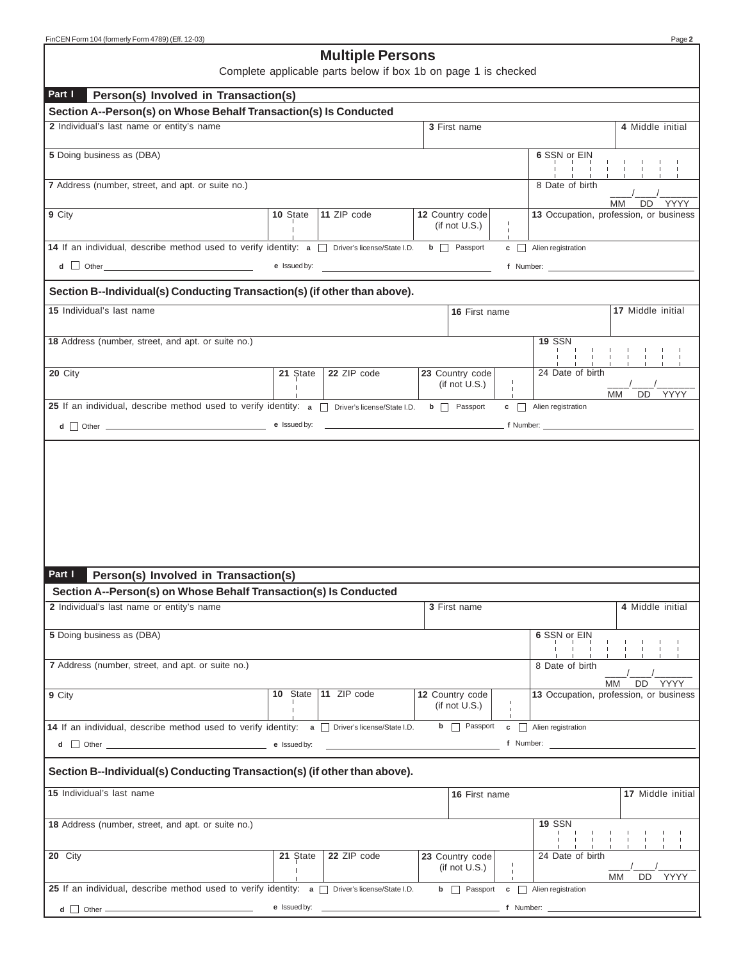# **Multiple Persons**

Complete applicable parts below if box 1b on page 1 is checked

| Part I                                                                                                                                                                                                                         |              |                             |                                     |              |                                                                                                                          |                   |
|--------------------------------------------------------------------------------------------------------------------------------------------------------------------------------------------------------------------------------|--------------|-----------------------------|-------------------------------------|--------------|--------------------------------------------------------------------------------------------------------------------------|-------------------|
| Person(s) Involved in Transaction(s)<br>Section A--Person(s) on Whose Behalf Transaction(s) Is Conducted                                                                                                                       |              |                             |                                     |              |                                                                                                                          |                   |
| 2 Individual's last name or entity's name                                                                                                                                                                                      |              |                             | 3 First name                        |              | 4 Middle initial                                                                                                         |                   |
|                                                                                                                                                                                                                                |              |                             |                                     |              |                                                                                                                          |                   |
| 5 Doing business as (DBA)                                                                                                                                                                                                      |              |                             |                                     |              | 6 SSN or EIN                                                                                                             |                   |
|                                                                                                                                                                                                                                |              |                             |                                     |              |                                                                                                                          | $\blacksquare$    |
| 7 Address (number, street, and apt. or suite no.)                                                                                                                                                                              |              |                             |                                     |              | 8 Date of birth                                                                                                          |                   |
|                                                                                                                                                                                                                                |              |                             |                                     |              |                                                                                                                          | MM<br>DD YYYY     |
| 9 City                                                                                                                                                                                                                         | 10 State     | 11 ZIP code                 | 12 Country code<br>(if not $U.S.$ ) |              | 13 Occupation, profession, or business                                                                                   |                   |
|                                                                                                                                                                                                                                |              |                             |                                     | $\mathbf{L}$ |                                                                                                                          |                   |
| 14 If an individual, describe method used to verify identity: a normore's license/State I.D.                                                                                                                                   |              |                             | $\mathsf{b}$ $\Box$ Passport        |              | $\mathbf{c}$ <b>Alien registration</b>                                                                                   |                   |
| $\overline{\mathsf{d}}$ $\Box$ Other $\Box$                                                                                                                                                                                    | e Issued by: |                             |                                     |              | f Number:                                                                                                                |                   |
| Section B--Individual(s) Conducting Transaction(s) (if other than above).                                                                                                                                                      |              |                             |                                     |              |                                                                                                                          |                   |
|                                                                                                                                                                                                                                |              |                             |                                     |              |                                                                                                                          |                   |
| 15 Individual's last name                                                                                                                                                                                                      |              |                             | 16 First name                       |              |                                                                                                                          | 17 Middle initial |
|                                                                                                                                                                                                                                |              |                             |                                     |              | <b>19 SSN</b>                                                                                                            |                   |
| 18 Address (number, street, and apt. or suite no.)                                                                                                                                                                             |              |                             |                                     |              |                                                                                                                          | $\sim$ 1.         |
| 20 City                                                                                                                                                                                                                        | 21 State     | 22 ZIP code                 | 23 Country code                     |              | 24 Date of birth                                                                                                         |                   |
|                                                                                                                                                                                                                                |              |                             | (if not $U.S.$ )                    | $\mathbf{I}$ |                                                                                                                          |                   |
| 25 If an individual, describe method used to verify identity: $a \Box$ Driver's license/State I.D.                                                                                                                             |              |                             | <b>b</b> Passport                   |              | МM<br>$\mathbf{c}$ $\Box$ Alien registration                                                                             | DD YYYY           |
|                                                                                                                                                                                                                                |              |                             |                                     |              |                                                                                                                          |                   |
|                                                                                                                                                                                                                                |              |                             |                                     |              | <b>Example 2016</b> The Company of Mumber: <u>Company of Number</u> 2016 The Company of Number: <u>Company of Number</u> |                   |
|                                                                                                                                                                                                                                |              |                             |                                     |              |                                                                                                                          |                   |
| Part I<br>Person(s) Involved in Transaction(s)                                                                                                                                                                                 |              |                             |                                     |              |                                                                                                                          |                   |
| Section A--Person(s) on Whose Behalf Transaction(s) Is Conducted                                                                                                                                                               |              |                             |                                     |              |                                                                                                                          |                   |
| 2 Individual's last name or entity's name                                                                                                                                                                                      |              |                             | 3 First name                        |              |                                                                                                                          | 4 Middle initial  |
|                                                                                                                                                                                                                                |              |                             |                                     |              |                                                                                                                          |                   |
| 5 Doing business as (DBA)                                                                                                                                                                                                      |              |                             |                                     |              | 6 SSN or EIN                                                                                                             |                   |
| 7 Address (number, street, and apt. or suite no.)                                                                                                                                                                              |              |                             |                                     |              | 8 Date of birth                                                                                                          |                   |
|                                                                                                                                                                                                                                |              |                             |                                     |              |                                                                                                                          |                   |
| 9 City                                                                                                                                                                                                                         | 10 State     | 11 ZIP code                 | 12 Country code                     |              | MМ<br>13 Occupation, profession, or business                                                                             | DD<br>YYYY        |
|                                                                                                                                                                                                                                |              |                             | (if not $U.S.$ )                    |              |                                                                                                                          |                   |
| 14 If an individual, describe method used to verify identity: a Diriver's license/State I.D.                                                                                                                                   |              |                             | $\mathbf{b}$ <b>Passport</b>        | c            | $\Box$ Alien registration                                                                                                |                   |
| d Other Changes and Other Changes and Other Changes and Changes and Changes and Changes and Changes and Changes and Changes and Changes and Changes and Changes and Changes and Changes and Changes and Changes and Changes an | e Issued by: |                             |                                     | f Number:    |                                                                                                                          |                   |
|                                                                                                                                                                                                                                |              |                             |                                     |              |                                                                                                                          |                   |
| Section B--Individual(s) Conducting Transaction(s) (if other than above).                                                                                                                                                      |              |                             |                                     |              |                                                                                                                          |                   |
| 15 Individual's last name                                                                                                                                                                                                      |              |                             | 16 First name                       |              |                                                                                                                          | 17 Middle initial |
| 18 Address (number, street, and apt. or suite no.)                                                                                                                                                                             |              |                             |                                     |              | <b>19 SSN</b>                                                                                                            |                   |
| 20 City                                                                                                                                                                                                                        | 21 State     | 22 ZIP code                 | 23 Country code                     |              | 24 Date of birth                                                                                                         |                   |
|                                                                                                                                                                                                                                |              |                             | (if not $U.S.$ )                    |              | <b>MM</b>                                                                                                                |                   |
| 25 If an individual, describe method used to verify identity: $a \Box$                                                                                                                                                         |              |                             |                                     |              |                                                                                                                          | DD<br>YYYY        |
|                                                                                                                                                                                                                                |              | Driver's license/State I.D. | $\mathsf{b}$ $\Box$ Passport        | c            | $\Box$ Alien registration                                                                                                |                   |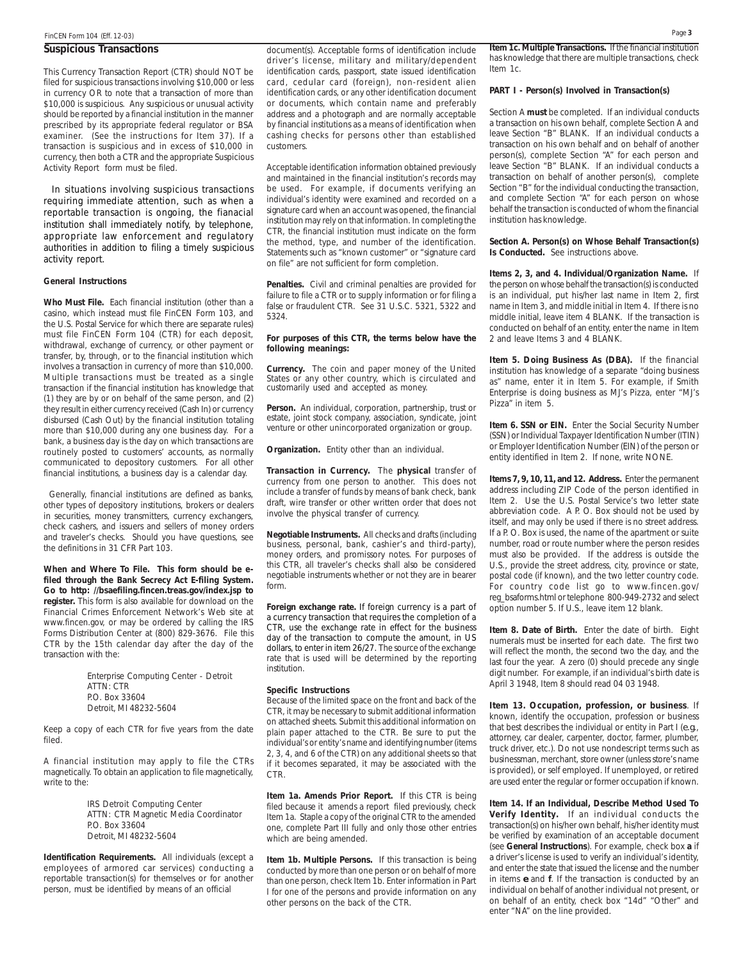#### **Suspicious Transactions**

This Currency Transaction Report (CTR) should NOT be filed for suspicious transactions involving \$10,000 or less in currency OR to note that a transaction of more than \$10,000 is suspicious. Any suspicious or unusual activity should be reported by a financial institution in the manner prescribed by its appropriate federal regulator or BSA examiner. (See the instructions for Item 37). If a transaction is suspicious and in excess of \$10,000 in currency, then both a CTR and the appropriate Suspicious Activity Report form must be filed.

In situations involving suspicious transactions requiring immediate attention, such as when a reportable transaction is ongoing, the fianacial institution shall immediately notify, by telephone, appropriate law enforcement and regulatory authorities in addition to filing a timely suspicious activity report.

#### **General Instructions**

**Who Must File.** Each financial institution (other than a casino, which instead must file FinCEN Form 103, and the U.S. Postal Service for which there are separate rules) must file FinCEN Form 104 (CTR) for each deposit, withdrawal, exchange of currency, or other payment or transfer, by, through, or to the financial institution which involves a transaction in currency of more than \$10,000. Multiple transactions must be treated as a single transaction if the financial institution has knowledge that (1) they are by or on behalf of the same person, and (2) they result in either currency received (Cash In) or currency disbursed (Cash Out) by the financial institution totaling more than \$10,000 during any one business day. For a bank, a business day is the day on which transactions are routinely posted to customers' accounts, as normally communicated to depository customers. For all other financial institutions, a business day is a calendar day.

Generally, financial institutions are defined as banks, other types of depository institutions, brokers or dealers in securities, money transmitters, currency exchangers, check cashers, and issuers and sellers of money orders and traveler's checks. Should you have questions, see the definitions in 31 CFR Part 103.

**When and Where To File. This form should be efiled through the Bank Secrecy Act E-filing System. Go to http: //bsaefiling.fincen.treas.gov/index.jsp to register.** This form is also available for download on the Financial Crimes Enforcement Network's Web site at www.fincen.gov, or may be ordered by calling the IRS Forms Distribution Center at (800) 829-3676. File this CTR by the 15th calendar day after the day of the transaction with the:

> Enterprise Computing Center - Detroit ATTN: CTR P.O. Box 33604 Detroit, MI 48232-5604

Keep a copy of each CTR for five years from the date filed.

A financial institution may apply to file the CTRs magnetically. To obtain an application to file magnetically, write to the:

> IRS Detroit Computing Center ATTN: CTR Magnetic Media Coordinator P.O. Box 33604 Detroit, MI 48232-5604

**Identification Requirements.** All individuals (except a employees of armored car services) conducting a reportable transaction(s) for themselves or for another person, must be identified by means of an official

document(s). Acceptable forms of identification include driver's license, military and military/dependent identification cards, passport, state issued identification card, cedular card (foreign), non-resident alien identification cards, or any other identification document or documents, which contain name and preferably address and a photograph and are normally acceptable by financial institutions as a means of identification when cashing checks for persons other than established customers.

Acceptable identification information obtained previously and maintained in the financial institution's records may be used. For example, if documents verifying an individual's identity were examined and recorded on a signature card when an account was opened, the financial institution may rely on that information. In completing the CTR, the financial institution must indicate on the form the method, type, and number of the identification. Statements such as "known customer" or "signature card on file" are not sufficient for form completion.

**Penalties.** Civil and criminal penalties are provided for failure to file a CTR or to supply information or for filing a false or fraudulent CTR. See 31 U.S.C. 5321, 5322 and 5324.

#### **For purposes of this CTR, the terms below have the following meanings:**

**Currency.** The coin and paper money of the United States or any other country, which is circulated and customarily used and accepted as money.

**Person.** An individual, corporation, partnership, trust or estate, joint stock company, association, syndicate, joint venture or other unincorporated organization or group.

**Organization.** Entity other than an individual.

**Transaction in Currency.** The **physical** transfer of currency from one person to another. This does not include a transfer of funds by means of bank check, bank draft, wire transfer or other written order that does not involve the physical transfer of currency.

**Negotiable Instruments.** All checks and drafts (including business, personal, bank, cashier's and third-party), money orders, and promissory notes. For purposes of this CTR, all traveler's checks shall also be considered negotiable instruments whether or not they are in bearer form.

**Foreign exchange rate.** If foreign currency is a part of a currency transaction that requires the completion of a CTR, use the exchange rate in effect for the business day of the transaction to compute the amount, in US dollars, to enter in item 26/27. The source of the exchange rate that is used will be determined by the reporting institution.

#### **Specific Instructions**

Because of the limited space on the front and back of the CTR, it may be necessary to submit additional information on attached sheets. Submit this additional information on plain paper attached to the CTR. Be sure to put the individual's or entity's name and identifying number (items 2, 3, 4, and 6 of the CTR) on any additional sheets so that if it becomes separated, it may be associated with the CTR.

**Item 1a. Amends Prior Report.** If this CTR is being filed because it amends a report filed previously, check Item 1a. Staple a copy of the original CTR to the amended one, complete Part III fully and only those other entries which are being amended.

**Item 1b. Multiple Persons.** If this transaction is being conducted by more than one person or on behalf of more than one person, check Item 1b. Enter information in Part I for one of the persons and provide information on any other persons on the back of the CTR.

**Item 1c. Multiple Transactions.** If the financial institution has knowledge that there are multiple transactions, check Item 1c.

## **PART I - Person(s) Involved in Transaction(s)**

Section A **must** be completed. If an individual conducts a transaction on his own behalf, complete Section A and leave Section "B" BLANK. If an individual conducts a transaction on his own behalf and on behalf of another person(s), complete Section "A" for each person and leave Section "B" BLANK. If an individual conducts a transaction on behalf of another person(s), complete Section "B" for the individual conducting the transaction, and complete Section "A" for each person on whose behalf the transaction is conducted of whom the financial institution has knowledge.

**Section A. Person(s) on Whose Behalf Transaction(s) Is Conducted.** See instructions above.

**Items 2, 3, and 4. Individual/Organization Name.** If the person on whose behalf the transaction(s) is conducted is an individual, put his/her last name in Item 2, first name in Item 3, and middle initial in Item 4. If there is no middle initial, leave item 4 BLANK. If the transaction is conducted on behalf of an entity, enter the name in Item 2 and leave Items 3 and 4 BLANK.

**Item 5. Doing Business As (DBA).** If the financial institution has knowledge of a separate "doing business as" name, enter it in Item 5. For example, if Smith Enterprise is doing business as MJ's Pizza, enter "MJ's Pizza" in item 5.

**Item 6. SSN or EIN.** Enter the Social Security Number (SSN) or Individual Taxpayer Identification Number (ITIN) or Employer Identification Number (EIN) of the person or entity identified in Item 2. If none, write NONE.

**Items 7, 9, 10, 11, and 12. Address.** Enter the permanent address including ZIP Code of the person identified in Item 2. Use the U.S. Postal Service's two letter state abbreviation code. A P. O. Box should not be used by itself, and may only be used if there is no street address. If a P. O. Box is used, the name of the apartment or suite number, road or route number where the person resides must also be provided. If the address is outside the U.S., provide the street address, city, province or state, postal code (if known), and the two letter country code. For country code list go to www.fincen.gov/ reg\_bsaforms.html or telephone 800-949-2732 and select option number 5. If U.S., leave item 12 blank.

**Item 8. Date of Birth.** Enter the date of birth. Eight numerals must be inserted for each date. The first two will reflect the month, the second two the day, and the last four the year. A zero (0) should precede any single digit number. For example, if an individual's birth date is April 3 1948, Item 8 should read 04 03 1948.

**Item 13. Occupation, profession, or business**. If known, identify the occupation, profession or business that best describes the individual or entity in Part I (*e.g.*, attorney, car dealer, carpenter, doctor, farmer, plumber, truck driver, etc.). Do not use nondescript terms such as businessman, merchant, store owner (unless store's name is provided), or self employed. If unemployed, or retired are used enter the regular or former occupation if known.

**Item 14. If an Individual, Describe Method Used To Verify Identity.** If an individual conducts the transaction(s) on his/her own behalf, his/her identity must be verified by examination of an acceptable document (see **General Instructions**). For example, check box **a** if a driver's license is used to verify an individual's identity, and enter the state that issued the license and the number in items *e* and **f**. If the transaction is conducted by an individual on behalf of another individual not present, or on behalf of an entity, check box "14d" "Other" and enter "NA" on the line provided.